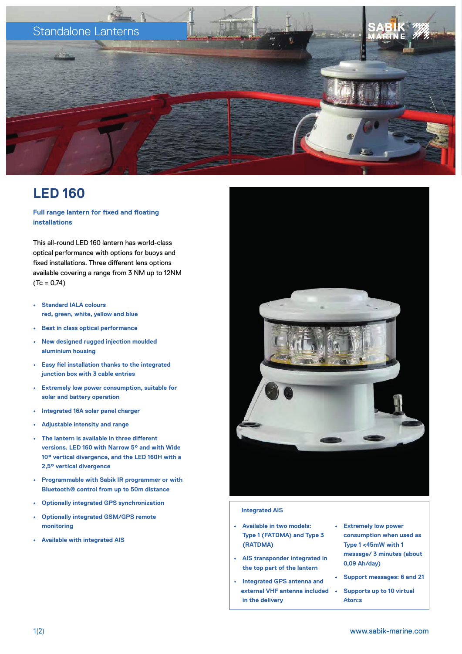

### **LED 160**

#### **Full range lantern for fixed and floating installations**

This all-round LED 160 lantern has world-class optical performance with options for buoys and fixed installations. Three different lens options available covering a range from 3 NM up to 12NM  $(Tc = 0,74)$ 

- **• Standard IALA colours red, green, white, yellow and blue**
- **• Best in class optical performance**
- **• New designed rugged injection moulded aluminium housing**
- **• Easy fiel installation thanks to the integrated junction box with 3 cable entries**
- **• Extremely low power consumption, suitable for solar and battery operation**
- **• Integrated 16A solar panel charger**
- **• Adjustable intensity and range**
- **• The lantern is available in three different versions. LED 160 with Narrow 5° and with Wide 10° vertical divergence, and the LED 160H with a 2,5° vertical divergence**
- **• Programmable with Sabik IR programmer or with Bluetooth® control from up to 50m distance**
- **• Optionally integrated GPS synchronization**
- **• Optionally integrated GSM/GPS remote monitoring**
- **• Available with integrated AIS**



#### **Integrated AIS**

- **• Available in two models: Type 1 (FATDMA) and Type 3 (RATDMA)**
- **• AIS transponder integrated in the top part of the lantern**
- **• Integrated GPS antenna and external VHF antenna included in the delivery**
- **• Extremely low power consumption when used as Type 1 <45mW with 1 message/ 3 minutes (about 0,09 Ah/day)**
- **• Support messages: 6 and 21**
	- **• Supports up to 10 virtual Aton:s**